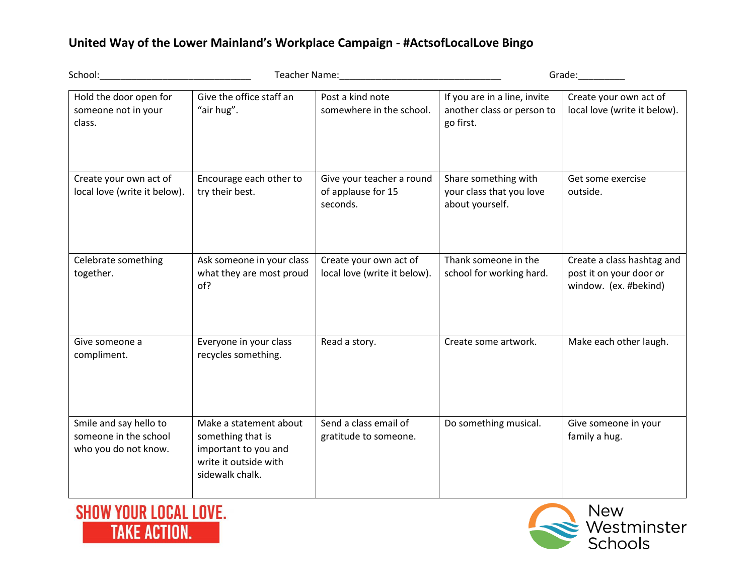## **United Way of the Lower Mainland's Workplace Campaign - #ActsofLocalLove Bingo**

| School:                                                                 | Teacher Name: 1988                                                                                              |                                                             |                                                                         |                                                                                |
|-------------------------------------------------------------------------|-----------------------------------------------------------------------------------------------------------------|-------------------------------------------------------------|-------------------------------------------------------------------------|--------------------------------------------------------------------------------|
| Hold the door open for<br>someone not in your<br>class.                 | Give the office staff an<br>"air hug".                                                                          | Post a kind note<br>somewhere in the school.                | If you are in a line, invite<br>another class or person to<br>go first. | Create your own act of<br>local love (write it below).                         |
| Create your own act of<br>local love (write it below).                  | Encourage each other to<br>try their best.                                                                      | Give your teacher a round<br>of applause for 15<br>seconds. | Share something with<br>your class that you love<br>about yourself.     | Get some exercise<br>outside.                                                  |
| Celebrate something<br>together.                                        | Ask someone in your class<br>what they are most proud<br>of?                                                    | Create your own act of<br>local love (write it below).      | Thank someone in the<br>school for working hard.                        | Create a class hashtag and<br>post it on your door or<br>window. (ex. #bekind) |
| Give someone a<br>compliment.                                           | Everyone in your class<br>recycles something.                                                                   | Read a story.                                               | Create some artwork.                                                    | Make each other laugh.                                                         |
| Smile and say hello to<br>someone in the school<br>who you do not know. | Make a statement about<br>something that is<br>important to you and<br>write it outside with<br>sidewalk chalk. | Send a class email of<br>gratitude to someone.              | Do something musical.                                                   | Give someone in your<br>family a hug.                                          |